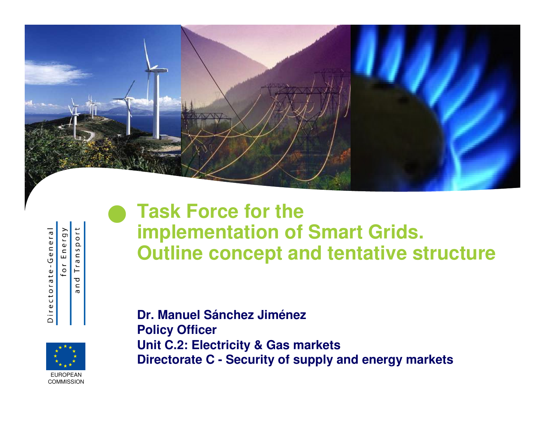

| ᠊ᢐ<br>Ľ<br>Φ<br>⊂<br>Φ<br>פ<br>ı<br>Φ<br>t<br>$\sigma$<br>٢<br>$\circ$<br>ب<br>U<br>$\omega$<br>r | ><br>$\sigma$<br>L<br>$\mathbf \omega$<br>U<br>ш<br>┶<br>$^{0}$ |
|---------------------------------------------------------------------------------------------------|-----------------------------------------------------------------|

Transport n d  $\sigma$ 

 $\bullet$ 

EUROPEANCOMMISSION

## **Task Force for the implementation of Smart Grids.Outline concept and tentative structure**

**Dr. Manuel Sánchez JiménezPolicy Officer Unit C.2: Electricity & Gas marketsDirectorate C - Security of supply and energy markets**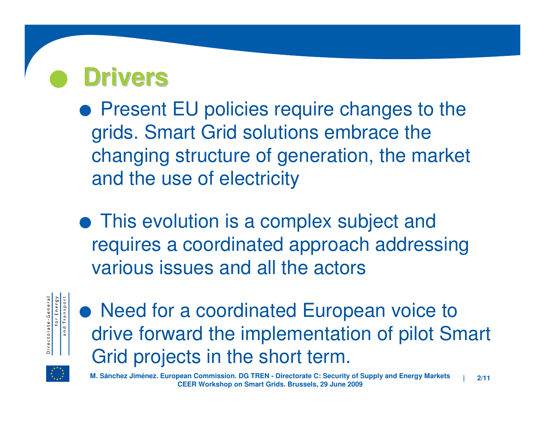#### $\bullet$ **Drivers**

**• Present EU policies require changes to the** grids. Smart Grid solutions embrace the changing structure of generation, the market and the use of electricity

**•** This evolution is a complex subject and requires a coordinated approach addressing various issues and all the actors



• Need for a coordinated European voice to drive forward the implementation of pilot Smart Grid projects in the short term.



M. Sánchez Jiménez. European Commission. DG TREN - Directorate C: Security of Supply and Energy Markets <sub>|</sub> <sub>2/11</sub><br>CEER Workshop on Smart Grids. Brussels, 29 June 2009 **CEER Workshop on Smart Grids. Brussels, 29 June 2009**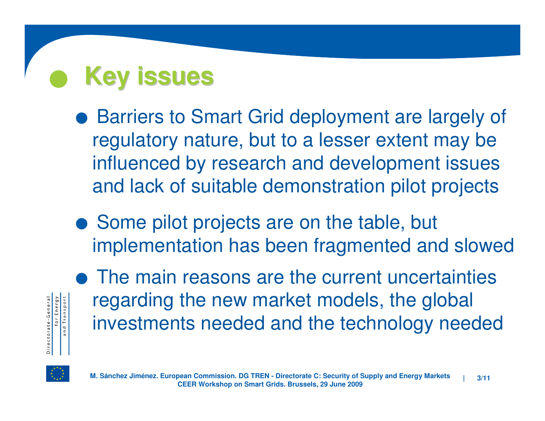## $\bullet$ **Key issues**

- Barriers to Smart Grid deployment are largely of regulatory nature, but to a lesser extent may be influenced by research and development issues and lack of suitable demonstration pilot projects
- Some pilot projects are on the table, but implementation has been fragmented and slowed



• The main reasons are the current uncertainties regarding the new market models, the global investments needed and the technology needed

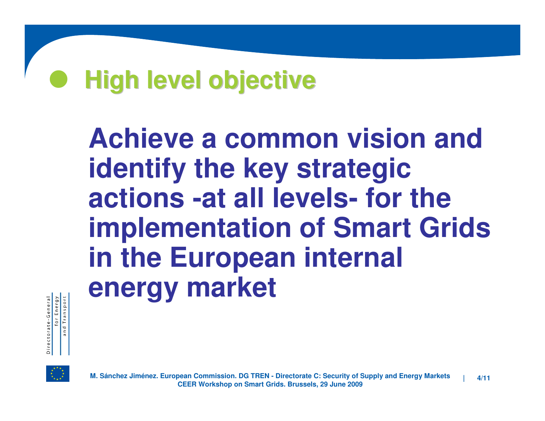### $\bullet$ **High level objective**

**Achieve a common vision and identify the key strategic actions -at all levels- for the implementation of Smart Grids in the European internal energy market**



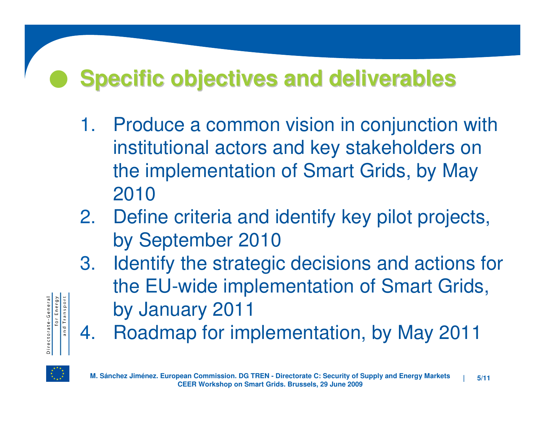#### $\bullet$ **Specific objectives and deliverables**

- 1. Produce a common vision in conjunction with institutional actors and key stakeholders on the implementation of Smart Grids, by May 2010
- 2. Define criteria and identify key pilot projects, by September 2010
- . Identify the strategic decisions and actions for 3.the EU-wide implementation of Smart Grids, by January 2011
- . Roadmap for implementation, by May 2011 4.



Directorate-General<br>for Energy<br>and Transport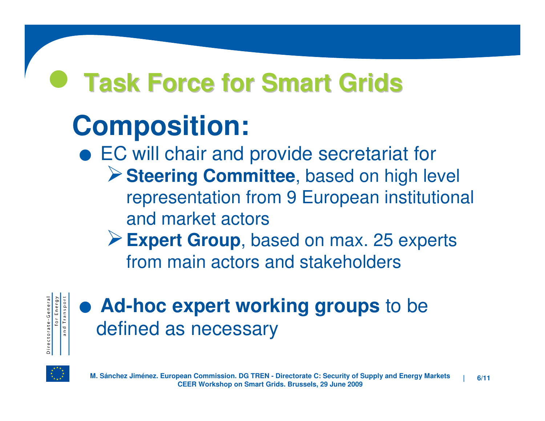#### $\bullet$ **Task Force for Smart Grids**

# **Composition:**

- EC will chair and provide secretariat for -**Steering Committee**, based on high level representation from 9 European institutional and market actors
	- -**Expert Group**, based on max. 25 experts from main actors and stakeholders



.**Ad-hoc expert working groups** to be defined as necessary

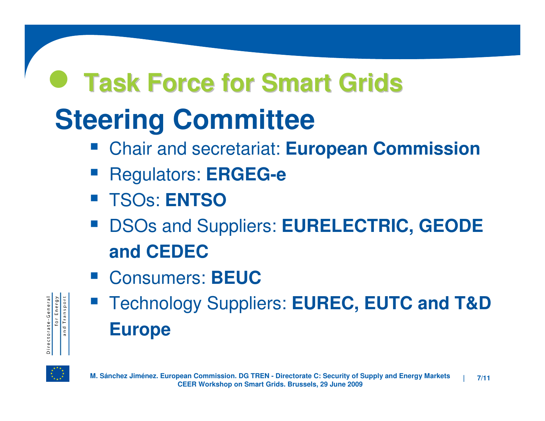## $\bullet$ **Steering CommitteeTask Force for Smart Grids**

- Chair and secretariat: **European Commission STATE**
- Regulators: **ERGEG-e**
- TSOs: **ENTSO**
- **DSOs and Suppliers: EURELECTRIC, GEODE and CEDEC**
- Consumers: **BEUC**

| Directorate-Genera | Energy<br>101 | Transport<br>and |
|--------------------|---------------|------------------|
|--------------------|---------------|------------------|

**Technology Suppliers: EUREC, EUTC and T&D STATE Europe**

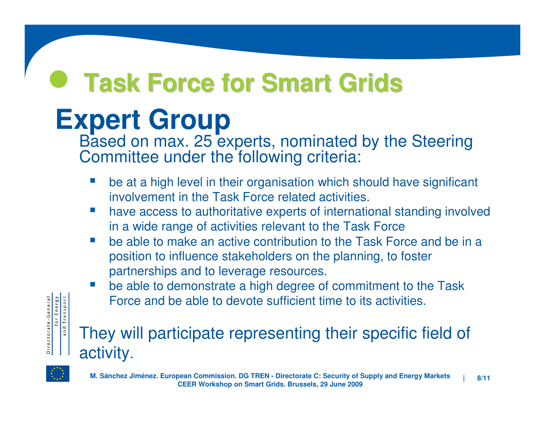# **Task Force for Smart Grids**

# **Expert Group**

 Based on max. 25 experts, nominated by the SteeringCommittee under the following criteria:

- $\mathcal{L}^{\text{eff}}$  be at a high level in their organisation which should have significant involvement in the Task Force related activities.
- $\mathcal{L}^{\mathcal{L}}$  have access to authoritative experts of international standing involved in a wide range of activities relevant to the Task Force
- be able to make an active contribution to the Task Force and be in a  $\mathcal{C}^{\mathcal{A}}$ position to influence stakeholders on the planning, to foster partnerships and to leverage resources.
- $\mathcal{L}^{\text{eff}}$  be able to demonstrate a high degree of commitment to the Task Force and be able to devote sufficient time to its activities.

## They will participate representing their specific field of activity.



for Energy<br>and Transport

Directorate-General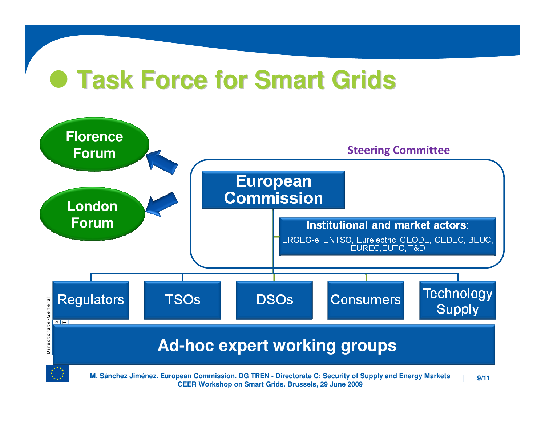# **Task Force for Smart Grids**

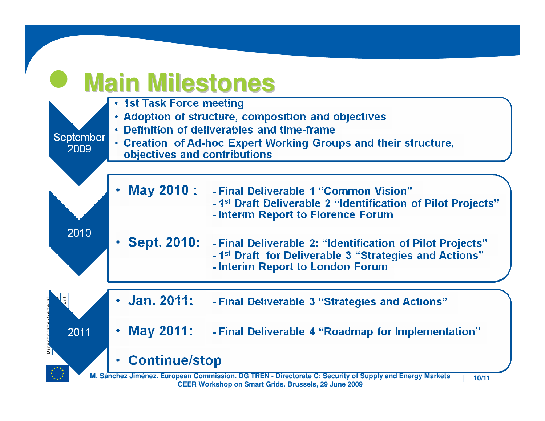